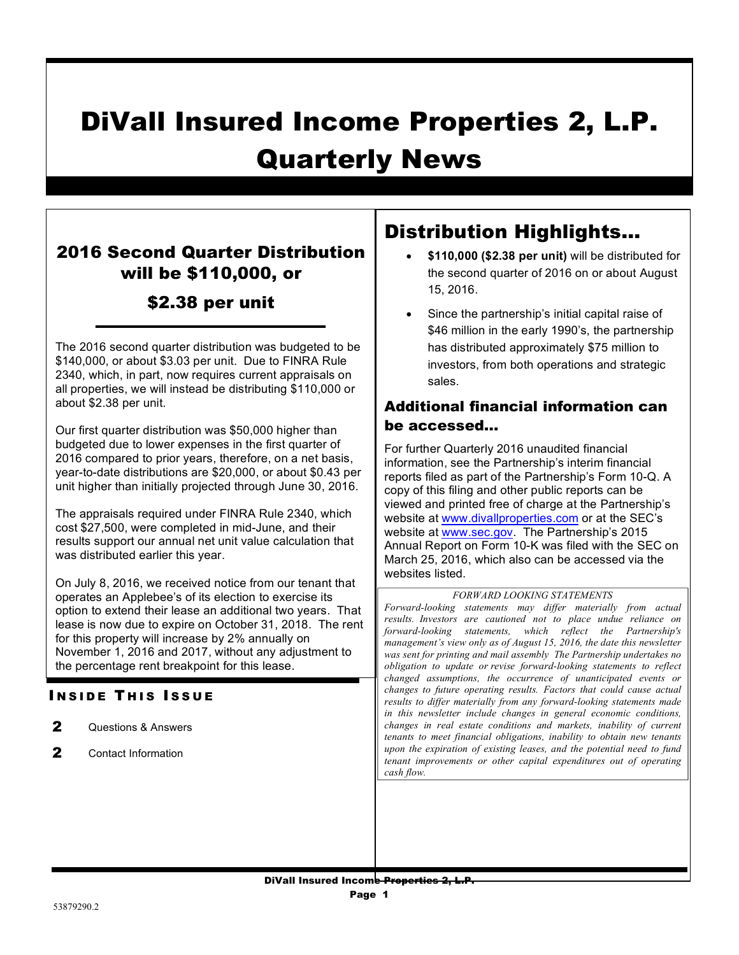# DiVall Insured Income Properties 2, L.P. Quarterly News

## 2016 Second Quarter Distribution will be \$110,000, or \$2.38 per unit

The 2016 second quarter distribution was budgeted to be \$140,000, or about \$3.03 per unit. Due to FINRA Rule 2340, which, in part, now requires current appraisals on all properties, we will instead be distributing \$110,000 or about \$2.38 per unit.

Our first quarter distribution was \$50,000 higher than budgeted due to lower expenses in the first quarter of 2016 compared to prior years, therefore, on a net basis, year-to-date distributions are \$20,000, or about \$0.43 per unit higher than initially projected through June 30, 2016.

The appraisals required under FINRA Rule 2340, which cost \$27,500, were completed in mid-June, and their results support our annual net unit value calculation that was distributed earlier this year.

On July 8, 2016, we received notice from our tenant that operates an Applebee's of its election to exercise its option to extend their lease an additional two years. That lease is now due to expire on October 31, 2018. The rent for this property will increase by 2% annually on November 1, 2016 and 2017, without any adjustment to the percentage rent breakpoint for this lease.

### **INSIDE THIS ISSUE**

- 2 Questions & Answers
- 2 Contact Information

# Distribution Highlights…

- **\$110,000 (\$2.38 per unit)** will be distributed for the second quarter of 2016 on or about August 15, 2016.
- Since the partnership's initial capital raise of \$46 million in the early 1990's, the partnership has distributed approximately \$75 million to investors, from both operations and strategic sales.

### Additional financial information can be accessed…

For further Quarterly 2016 unaudited financial information, see the Partnership's interim financial reports filed as part of the Partnership's Form 10-Q. A copy of this filing and other public reports can be viewed and printed free of charge at the Partnership's website at www.divallproperties.com or at the SEC's website at www.sec.gov. The Partnership's 2015 Annual Report on Form 10-K was filed with the SEC on March 25, 2016, which also can be accessed via the websites listed.

#### *FORWARD LOOKING STATEMENTS*

*Forward-looking statements may differ materially from actual results. Investors are cautioned not to place undue reliance on forward-looking statements, which reflect the Partnership's management's view only as of August 15, 2016, the date this newsletter was sent for printing and mail assembly The Partnership undertakes no obligation to update or revise forward-looking statements to reflect changed assumptions, the occurrence of unanticipated events or changes to future operating results. Factors that could cause actual results to differ materially from any forward-looking statements made in this newsletter include changes in general economic conditions, changes in real estate conditions and markets, inability of current tenants to meet financial obligations, inability to obtain new tenants upon the expiration of existing leases, and the potential need to fund tenant improvements or other capital expenditures out of operating cash flow.*